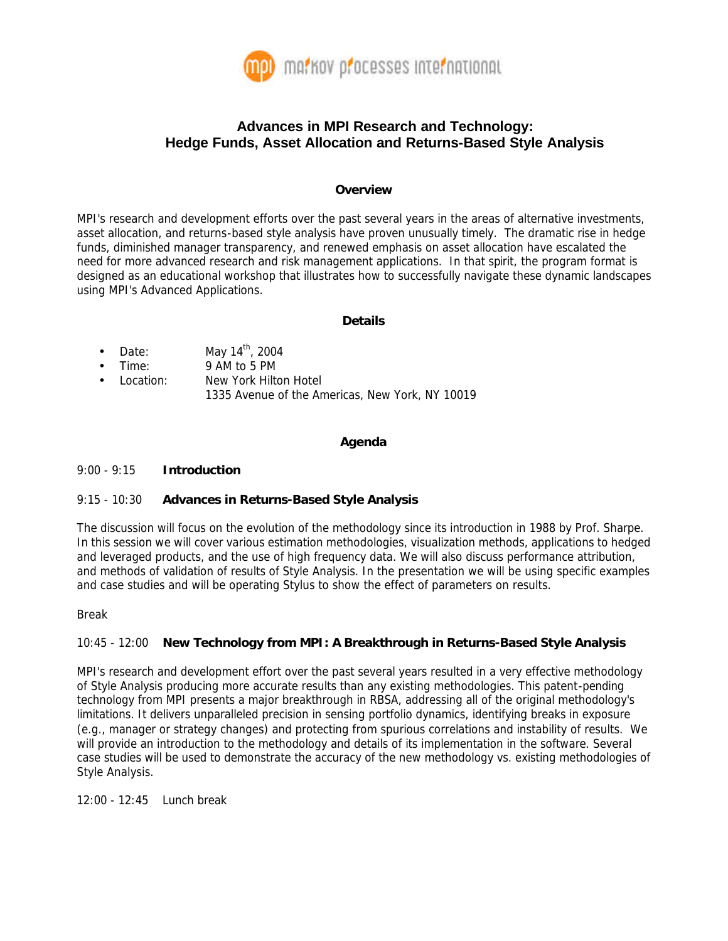

# **Advances in MPI Research and Technology: Hedge Funds, Asset Allocation and Returns-Based Style Analysis**

#### **Overview**

MPI's research and development efforts over the past several years in the areas of alternative investments, asset allocation, and returns-based style analysis have proven unusually timely. The dramatic rise in hedge funds, diminished manager transparency, and renewed emphasis on asset allocation have escalated the need for more advanced research and risk management applications. In that spirit, the program format is designed as an educational workshop that illustrates how to successfully navigate these dynamic landscapes using MPI's Advanced Applications.

#### **Details**

- Date: May  $14<sup>th</sup>$ , 2004
- Time: 9 AM to 5 PM
- Location: New York Hilton Hotel 1335 Avenue of the Americas, New York, NY 10019

### **Agenda**

#### 9:00 - 9:15 **Introduction**

### 9:15 - 10:30 **Advances in Returns-Based Style Analysis**

The discussion will focus on the evolution of the methodology since its introduction in 1988 by Prof. Sharpe. In this session we will cover various estimation methodologies, visualization methods, applications to hedged and leveraged products, and the use of high frequency data. We will also discuss performance attribution, and methods of validation of results of Style Analysis. In the presentation we will be using specific examples and case studies and will be operating Stylus to show the effect of parameters on results.

Break

## 10:45 - 12:00 **New Technology from MPI: A Breakthrough in Returns-Based Style Analysis**

MPI's research and development effort over the past several years resulted in a very effective methodology of Style Analysis producing more accurate results than any existing methodologies. This patent-pending technology from MPI presents a major breakthrough in RBSA, addressing all of the original methodology's limitations. It delivers unparalleled precision in sensing portfolio dynamics, identifying breaks in exposure (e.g., manager or strategy changes) and protecting from spurious correlations and instability of results. We will provide an introduction to the methodology and details of its implementation in the software. Several case studies will be used to demonstrate the accuracy of the new methodology vs. existing methodologies of Style Analysis.

12:00 - 12:45 Lunch break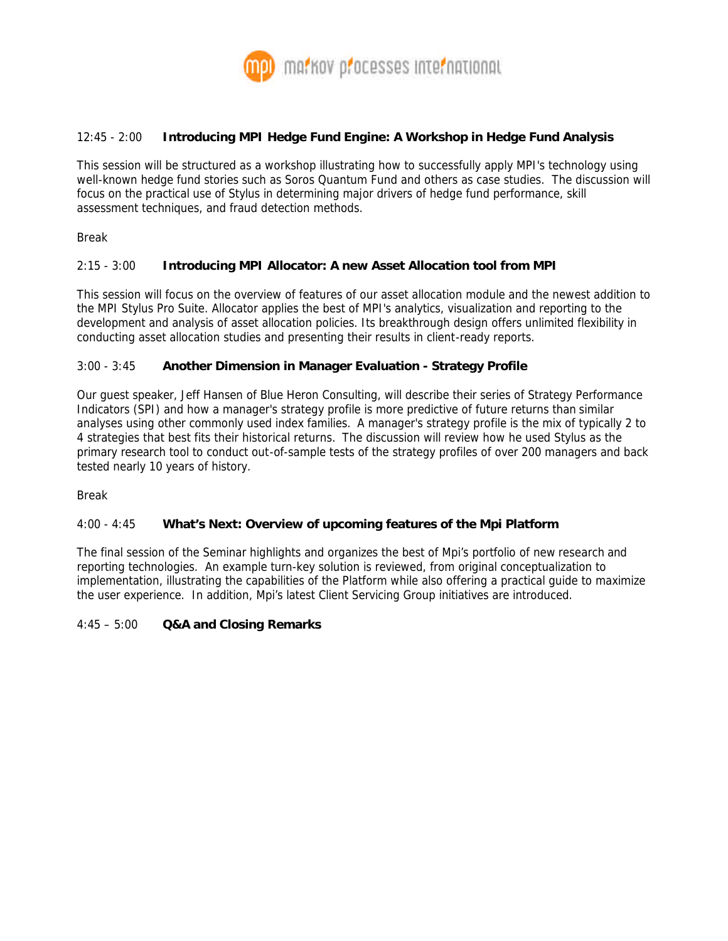

### 12:45 - 2:00 **Introducing MPI Hedge Fund Engine: A Workshop in Hedge Fund Analysis**

This session will be structured as a workshop illustrating how to successfully apply MPI's technology using well-known hedge fund stories such as Soros Quantum Fund and others as case studies. The discussion will focus on the practical use of Stylus in determining major drivers of hedge fund performance, skill assessment techniques, and fraud detection methods.

Break

### 2:15 - 3:00 **Introducing MPI Allocator: A new Asset Allocation tool from MPI**

This session will focus on the overview of features of our asset allocation module and the newest addition to the MPI Stylus Pro Suite. Allocator applies the best of MPI's analytics, visualization and reporting to the development and analysis of asset allocation policies. Its breakthrough design offers unlimited flexibility in conducting asset allocation studies and presenting their results in client-ready reports.

### 3:00 - 3:45 **Another Dimension in Manager Evaluation - Strategy Profile**

Our guest speaker, Jeff Hansen of Blue Heron Consulting, will describe their series of Strategy Performance Indicators (SPI) and how a manager's strategy profile is more predictive of future returns than similar analyses using other commonly used index families. A manager's strategy profile is the mix of typically 2 to 4 strategies that best fits their historical returns. The discussion will review how he used Stylus as the primary research tool to conduct out-of-sample tests of the strategy profiles of over 200 managers and back tested nearly 10 years of history.

Break

### 4:00 - 4:45 **What's Next: Overview of upcoming features of the Mpi Platform**

The final session of the Seminar highlights and organizes the best of Mpi's portfolio of new *research* and *reporting* technologies. An example turn-key solution is reviewed, from original conceptualization to implementation, illustrating the capabilities of the Platform while also offering a practical guide to maximize the user experience. In addition, Mpi's latest Client Servicing Group initiatives are introduced.

### 4:45 – 5:00 **Q&A and Closing Remarks**